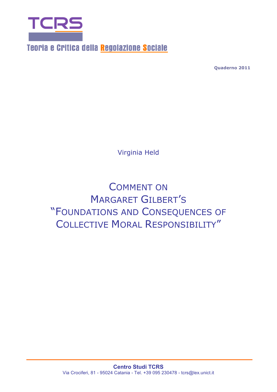

Teoria e Critica della Regolazione Sociale

**Quaderno 2011**

Virginia Held

COMMENT ON MARGARET GILBERT'S "FOUNDATIONS AND CONSEQUENCES OF COLLECTIVE MORAL RESPONSIBILITY"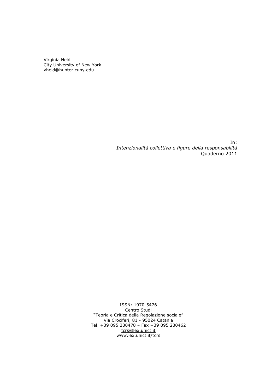Virginia Held City University of New York vheld@hunter.cuny.edu

> In: *Intenzionalità collettiva e figure della responsabilità* Quaderno 2011

ISSN: 1970-5476 Centro Studi "Teoria e Critica della Regolazione sociale" Via Crociferi, 81 - 95024 Catania Tel. +39 095 230478 – Fax +39 095 230462 tcrs@lex.unict.it www.lex.unict.it/tcrs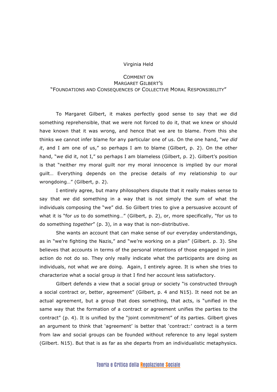## Virginia Held

## COMMENT ON MARGARET GILBERT'S "FOUNDATIONS AND CONSEQUENCES OF COLLECTIVE MORAL RESPONSIBILITY"

To Margaret Gilbert, it makes perfectly good sense to say that *we* did something reprehensible, that we were not forced to do it, that we knew or should have known that it was wrong, and hence that we are to blame. From this she thinks we cannot infer blame for any particular one of us. On the one hand, "*we did it*, and I am one of us," so perhaps I am to blame (Gilbert, p. 2). On the other hand, "*we* did it, not I," so perhaps I am blameless (Gilbert, p. 2). Gilbert's position is that "neither my moral guilt nor my moral innocence is implied by our moral guilt… Everything depends on the precise details of my relationship to our wrongdoing…" (Gilbert, p. 2).

I entirely agree, but many philosophers dispute that it really makes sense to say that *we* did something in a way that is not simply the sum of what the individuals composing the "we" did. So Gilbert tries to give a persuasive account of what it is "for *us* to do something…" (Gilbert, p. 2), or, more specifically, "for us to do something *together*" (p. 3), in a way that is non-distributive.

She wants an account that can make sense of our everyday understandings, as in "we're fighting the Nazis," and "we're working on a plan" (Gilbert. p. 3). She believes that accounts in terms of the personal intentions of those engaged in joint action do not do so. They only really indicate what the participants are doing as individuals, not what *we* are doing. Again, I entirely agree. It is when she tries to characterize what a social group *is* that I find her account less satisfactory.

Gilbert defends a view that a social group or society "is constructed through a social contract or, better, agreement" (Gilbert, p. 4 and N15). It need not be an actual agreement, but a group that does something, that acts, is "unified in the same way that the formation of a contract or agreement unifies the parties to the contract" (p. 4). It is unified by the "joint commitment" of its parties. Gilbert gives an argument to think that 'agreement' is better that 'contract:' contract is a term from law and social groups can be founded without reference to any legal system (Gilbert. N15). But that is as far as she departs from an individualistic metaphysics.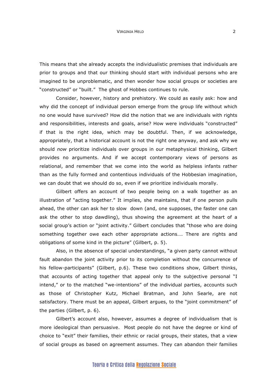This means that she already accepts the individualistic premises that individuals are prior to groups and that our thinking should start with individual persons who are imagined to be unproblematic, and then wonder how social groups or societies are "constructed" or "built." The ghost of Hobbes continues to rule.

Consider, however, history and prehistory. We could as easily ask: how and why did the concept of individual person emerge from the group life without which no one would have survived? How did the notion that we are individuals with rights and responsibilities, interests and goals, arise? How were individuals "constructed" if that is the right idea, which may be doubtful. Then, if we acknowledge, appropriately, that a historical account is not the right one anyway, and ask why we should *now* prioritize individuals over groups in our metaphysical thinking, Gilbert provides no arguments. And if we accept contemporary views of persons as relational, and remember that we come into the world as helpless infants rather than as the fully formed and contentious individuals of the Hobbesian imagination, we can doubt that we should do so, even if we prioritize individuals morally.

Gilbert offers an account of two people being on a walk together as an illustration of "acting together." It implies, she maintains, that if one person pulls ahead, the other can ask her to slow down (and, one supposes, the faster one can ask the other to stop dawdling), thus showing the agreement at the heart of a social group's action or "joint activity." Gilbert concludes that "those who are doing something together owe each other appropriate actions…. There are rights and obligations of some kind in the picture" (Gilbert, p. 5).

Also, in the absence of special understandings, "a given party cannot without fault abandon the joint activity prior to its completion without the concurrence of his fellow-participants" (Gilbert, p.6). These two conditions show, Gilbert thinks, that accounts of acting together that appeal only to the subjective personal "I intend," or to the matched "we-intentions" of the individual parties, accounts such as those of Christopher Kutz, Michael Bratman, and John Searle, are not satisfactory. There must be an appeal, Gilbert argues, to the "joint commitment" of the parties (Gilbert, p. 6).

Gilbert's account also, however, assumes a degree of individualism that is more ideological than persuasive. Most people do not have the degree or kind of choice to "exit" their families, their ethnic or racial groups, their states, that a view of social groups as based on agreement assumes. They can abandon their families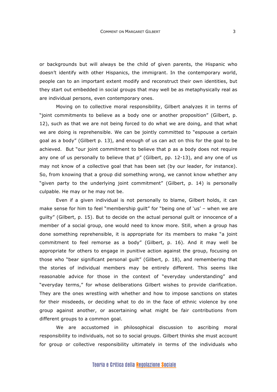or backgrounds but will always be the child of given parents, the Hispanic who doesn't identify with other Hispanics, the immigrant. In the contemporary world, people can to an important extent modify and reconstruct their own identities, but they start out embedded in social groups that may well be as metaphysically real as are individual persons, even contemporary ones.

Moving on to collective moral responsibility, Gilbert analyzes it in terms of "joint commitments to believe as a body one or another proposition" (Gilbert, p. 12), such as that we are not being forced to do what we are doing, and that what we are doing is reprehensible. We can be jointly committed to "espouse a certain goal as a body" (Gilbert p. 13), and enough of us can act on this for the goal to be achieved. But "our joint commitment to believe that p as a body does not require any one of us personally to believe that p" (Gilbert, pp. 12-13), and any one of us may not know of a collective goal that has been set (by our leader, for instance). So, from knowing that a group did something wrong, we cannot know whether any "given party to the underlying joint commitment" (Gilbert, p. 14) is personally culpable. He may or he may not be.

Even if a given individual is not personally to blame, Gilbert holds, it can make sense for him to feel "membership guilt" for "being one of 'us' – when we are guilty" (Gilbert, p. 15). But to decide on the actual personal guilt or innocence of a member of a social group, one would need to know more. Still, when a group has done something reprehensible, it is appropriate for its members to make "a joint commitment to feel remorse as a body" (Gilbert, p. 16). And it may well be appropriate for others to engage in punitive action against the group, focusing on those who "bear significant personal guilt" (Gilbert, p. 18), and remembering that the stories of individual members may be entirely different. This seems like reasonable advice for those in the context of "everyday understanding" and "everyday terms," for whose deliberations Gilbert wishes to provide clarification. They are the ones wrestling with whether and how to impose sanctions on states for their misdeeds, or deciding what to do in the face of ethnic violence by one group against another, or ascertaining what might be fair contributions from different groups to a common goal.

We are accustomed in philosophical discussion to ascribing moral responsibility to individuals, not so to social groups. Gilbert thinks she must account for group or collective responsibility ultimately in terms of the individuals who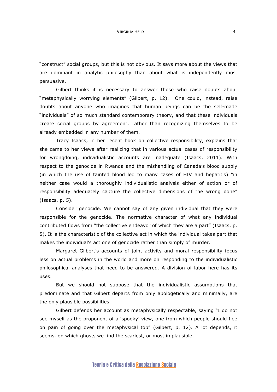"construct" social groups, but this is not obvious. It says more about the views that are dominant in analytic philosophy than about what is independently most persuasive.

Gilbert thinks it is necessary to answer those who raise doubts about "metaphysically worrying elements" (Gilbert, p. 12). One could, instead, raise doubts about anyone who imagines that human beings can be the self-made "individuals" of so much standard contemporary theory, and that these individuals create social groups by agreement, rather than recognizing themselves to be already embedded in any number of them.

Tracy Isaacs, in her recent book on collective responsibility, explains that she came to her views after realizing that in various actual cases of responsibility for wrongdoing, individualistic accounts are inadequate (Isaacs, 2011). With respect to the genocide in Rwanda and the mishandling of Canada's blood supply (in which the use of tainted blood led to many cases of HIV and hepatitis) "in neither case would a thoroughly individualistic analysis either of action or of responsibility adequately capture the collective dimensions of the wrong done" (Isaacs, p. 5).

Consider genocide. We cannot say of any given individual that they were responsible for the genocide. The normative character of what any individual contributed flows from "the collective endeavor of which they are a part" (Isaacs, p. 5). It is the characteristic of the collective act in which the individual takes part that makes the individual's act one of genocide rather than simply of murder.

Margaret Gilbert's accounts of joint activity and moral responsibility focus less on actual problems in the world and more on responding to the individualistic philosophical analyses that need to be answered. A division of labor here has its uses.

But we should not suppose that the individualistic assumptions that predominate and that Gilbert departs from only apologetically and minimally, are the only plausible possibilities.

Gilbert defends her account as metaphysically respectable, saying "I do not see myself as the proponent of a 'spooky' view, one from which people should flee on pain of going over the metaphysical top" (Gilbert, p. 12). A lot depends, it seems, on which ghosts we find the scariest, or most implausible.